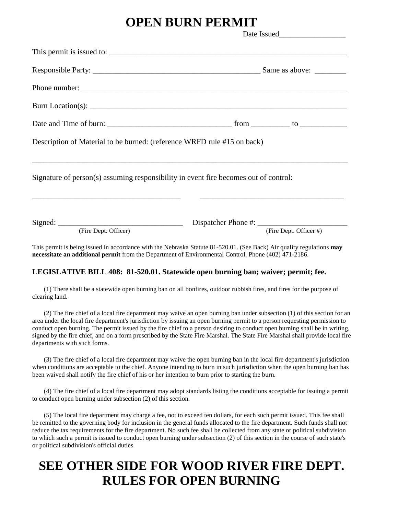## **OPEN BURN PERMIT**

|                                                                                      | Date Issued |                        |
|--------------------------------------------------------------------------------------|-------------|------------------------|
|                                                                                      |             |                        |
|                                                                                      |             |                        |
|                                                                                      |             |                        |
|                                                                                      |             |                        |
|                                                                                      |             |                        |
| Description of Material to be burned: (reference WRFD rule #15 on back)              |             |                        |
| Signature of person(s) assuming responsibility in event fire becomes out of control: |             |                        |
| (Fire Dept. Officer)                                                                 |             | (Fire Dept. Officer #) |

This permit is being issued in accordance with the Nebraska Statute 81-520.01. (See Back) Air quality regulations **may necessitate an additional permit** from the Department of Environmental Control. Phone (402) 471-2186.

### **LEGISLATIVE BILL 408: 81-520.01. Statewide open burning ban; waiver; permit; fee.**

(1) There shall be a statewide open burning ban on all bonfires, outdoor rubbish fires, and fires for the purpose of clearing land.

(2) The fire chief of a local fire department may waive an open burning ban under subsection (1) of this section for an area under the local fire department's jurisdiction by issuing an open burning permit to a person requesting permission to conduct open burning. The permit issued by the fire chief to a person desiring to conduct open burning shall be in writing, signed by the fire chief, and on a form prescribed by the State Fire Marshal. The State Fire Marshal shall provide local fire departments with such forms.

(3) The fire chief of a local fire department may waive the open burning ban in the local fire department's jurisdiction when conditions are acceptable to the chief. Anyone intending to burn in such jurisdiction when the open burning ban has been waived shall notify the fire chief of his or her intention to burn prior to starting the burn.

(4) The fire chief of a local fire department may adopt standards listing the conditions acceptable for issuing a permit to conduct open burning under subsection (2) of this section.

(5) The local fire department may charge a fee, not to exceed ten dollars, for each such permit issued. This fee shall be remitted to the governing body for inclusion in the general funds allocated to the fire department. Such funds shall not reduce the tax requirements for the fire department. No such fee shall be collected from any state or political subdivision to which such a permit is issued to conduct open burning under subsection (2) of this section in the course of such state's or political subdivision's official duties.

# **SEE OTHER SIDE FOR WOOD RIVER FIRE DEPT. RULES FOR OPEN BURNING**